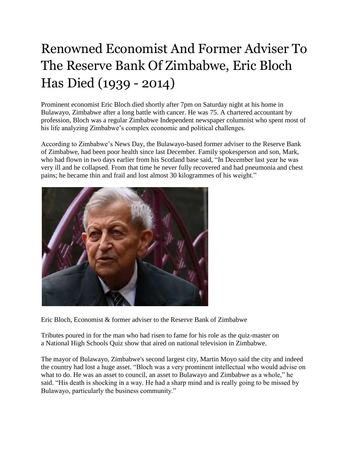## Renowned Economist And Former Adviser To The Reserve Bank Of Zimbabwe, Eric Bloch Has Died (1939 - 2014)

Prominent economist Eric Bloch died shortly after 7pm on Saturday night at his home in Bulawayo, Zimbabwe after a long battle with cancer. He was 75. A chartered accountant by profession, Bloch was a regular Zimbabwe Independent newspaper columnist who spent most of his life analyzing Zimbabwe's complex economic and political challenges.

According to Zimbabwe's News Day, the Bulawayo-based former adviser to the Reserve Bank of Zimbabwe, had been poor health since last December. Family spokesperson and son, Mark, who had flown in two days earlier from his Scotland base said, "In December last year he was very ill and he collapsed. From that time he never fully recovered and had pneumonia and chest pains; he became thin and frail and lost almost 30 kilogrammes of his weight."



Eric Bloch, Economist & former adviser to the Reserve Bank of Zimbabwe

Tributes poured in for the man who had risen to fame for his role as the quiz-master on a National High Schools Quiz show that aired on national television in Zimbabwe.

The mayor of Bulawayo, Zimbabwe's second largest city, Martin Moyo said the city and indeed the country had lost a huge asset. "Bloch was a very prominent intellectual who would advise on what to do. He was an asset to council, an asset to Bulawayo and Zimbabwe as a whole," he said. "His death is shocking in a way. He had a sharp mind and is really going to be missed by Bulawayo, particularly the business community."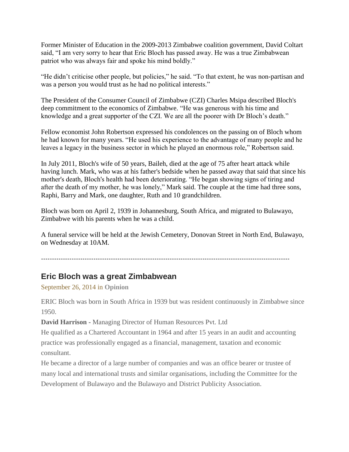Former Minister of Education in the 2009-2013 Zimbabwe coalition government, David Coltart said, "I am very sorry to hear that Eric Bloch has passed away. He was a true Zimbabwean patriot who was always fair and spoke his mind boldly."

"He didn't criticise other people, but policies," he said. "To that extent, he was non-partisan and was a person you would trust as he had no political interests."

The President of the Consumer Council of Zimbabwe (CZI) Charles Msipa described Bloch's deep commitment to the economics of Zimbabwe. "He was generous with his time and knowledge and a great supporter of the CZI. We are all the poorer with Dr Bloch's death."

Fellow economist John Robertson expressed his condolences on the passing on of Bloch whom he had known for many years. "He used his experience to the advantage of many people and he leaves a legacy in the business sector in which he played an enormous role," Robertson said.

In July 2011, Bloch's wife of 50 years, Baileh, died at the age of 75 after heart attack while having lunch. Mark, who was at his father's bedside when he passed away that said that since his mother's death, Bloch's health had been deteriorating. "He began showing signs of tiring and after the death of my mother, he was lonely," Mark said. The couple at the time had three sons, Raphi, Barry and Mark, one daughter, Ruth and 10 grandchildren.

Bloch was born on April 2, 1939 in Johannesburg, South Africa, and migrated to Bulawayo, Zimbabwe with his parents when he was a child.

A funeral service will be held at the Jewish Cemetery, Donovan Street in North End, Bulawayo, on Wednesday at 10AM.

------------------------------------------------------------------------------------------------------------------

## **Eric Bloch was a great Zimbabwean**

September 26, 2014 in **[Opinion](https://www.theindependent.co.zw/opinion/)**

ERIC Bloch was born in South Africa in 1939 but was resident continuously in Zimbabwe since 1950.

**David Harrison -** Managing Director of Human Resources Pvt. Ltd

He qualified as a Chartered Accountant in 1964 and after 15 years in an audit and accounting practice was professionally engaged as a financial, management, taxation and economic consultant.

He became a director of a large number of companies and was an office bearer or trustee of many local and international trusts and similar organisations, including the Committee for the Development of Bulawayo and the Bulawayo and District Publicity Association.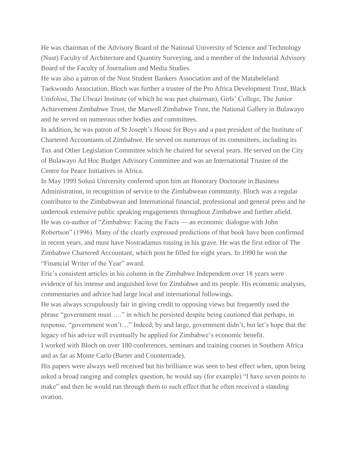He was chairman of the Advisory Board of the National University of Science and Technology (Nust) Faculty of Architecture and Quantity Surveying, and a member of the Industrial Advisory Board of the Faculty of Journalism and Media Studies.

He was also a patron of the Nust Student Bankers Association and of the Matabeleland Taekwondo Association. Bloch was further a trustee of the Pro Africa Development Trust, Black Umfolosi, The Ulwazi Institute (of which he was past chairman), Girls' College, The Junior Achievement Zimbabwe Trust, the Marwell Zimbabwe Trust, the National Gallery in Bulawayo and he served on numerous other bodies and committees.

In addition, he was patron of St Joseph's House for Boys and a past president of the Institute of Chartered Accountants of Zimbabwe. He served on numerous of its committees, including its Tax and Other Legislation Committee which he chaired for several years. He served on the City of Bulawayo Ad Hoc Budget Advisory Committee and was an International Trustee of the Centre for Peace Initiatives in Africa.

In May 1999 Solusi University conferred upon him an Honorary Doctorate in Business Administration, in recognition of service to the Zimbabwean community. Bloch was a regular contributor to the Zimbabwean and International financial, professional and general press and he undertook extensive public speaking engagements throughout Zimbabwe and further afield. He was co-author of "Zimbabwe: Facing the Facts — an economic dialogue with John Robertson" (1996). Many of the clearly expressed predictions of that book have been confirmed in recent years, and must have Nostradamus tossing in his grave. He was the first editor of The Zimbabwe Chartered Accountant, which post he filled for eight years. In 1990 he won the "Financial Writer of the Year" award.

Eric's consistent articles in his column in the Zimbabwe Independent over 18 years were evidence of his intense and anguished love for Zimbabwe and its people. His economic analyses, commentaries and advice had large local and international followings.

He was always scrupulously fair in giving credit to opposing views but frequently used the phrase "government must …." in which he persisted despite being cautioned that perhaps, in response, "government won't…" Indeed, by and large, government didn't, but let's hope that the legacy of his advice will eventually be applied for Zimbabwe's economic benefit.

I worked with Bloch on over 180 conferences, seminars and training courses in Southern Africa and as far as Monte Carlo (Barter and Countertrade).

His papers were always well received but his brilliance was seen to best effect when, upon being asked a broad ranging and complex question, he would say (for example) "I have seven points to make" and then he would run through them to such effect that he often received a standing ovation.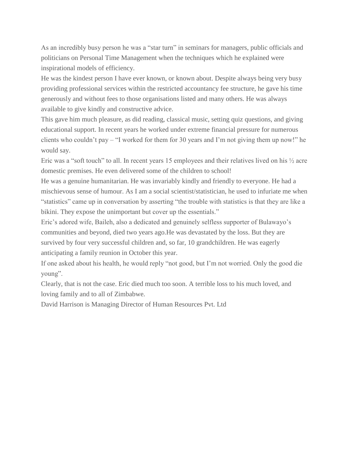As an incredibly busy person he was a "star turn" in seminars for managers, public officials and politicians on Personal Time Management when the techniques which he explained were inspirational models of efficiency.

He was the kindest person I have ever known, or known about. Despite always being very busy providing professional services within the restricted accountancy fee structure, he gave his time generously and without fees to those organisations listed and many others. He was always available to give kindly and constructive advice.

This gave him much pleasure, as did reading, classical music, setting quiz questions, and giving educational support. In recent years he worked under extreme financial pressure for numerous clients who couldn't pay – "I worked for them for 30 years and I'm not giving them up now!" he would say.

Eric was a "soft touch" to all. In recent years 15 employees and their relatives lived on his  $\frac{1}{2}$  acre domestic premises. He even delivered some of the children to school!

He was a genuine humanitarian. He was invariably kindly and friendly to everyone. He had a mischievous sense of humour. As I am a social scientist/statistician, he used to infuriate me when "statistics" came up in conversation by asserting "the trouble with statistics is that they are like a bikini. They expose the unimportant but cover up the essentials."

Eric's adored wife, Baileh, also a dedicated and genuinely selfless supporter of Bulawayo's communities and beyond, died two years ago.He was devastated by the loss. But they are survived by four very successful children and, so far, 10 grandchildren. He was eagerly anticipating a family reunion in October this year.

If one asked about his health, he would reply "not good, but I'm not worried. Only the good die young".

Clearly, that is not the case. Eric died much too soon. A terrible loss to his much loved, and loving family and to all of Zimbabwe.

David Harrison is Managing Director of Human Resources Pvt. Ltd